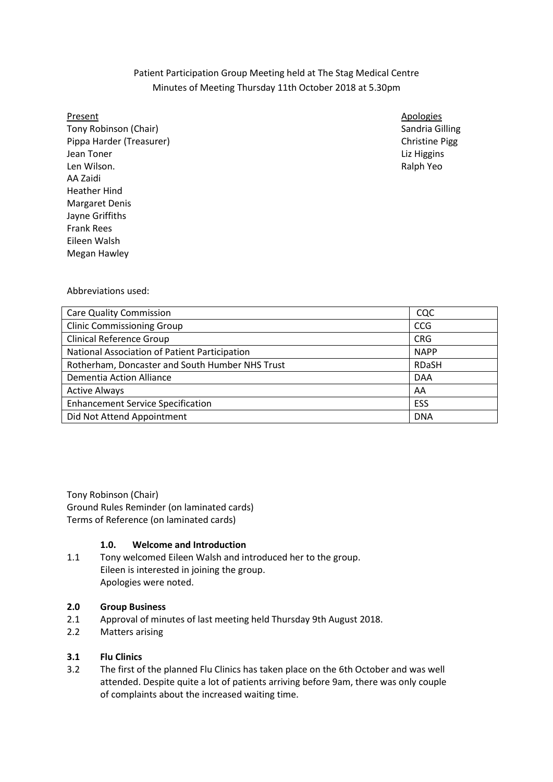# Patient Participation Group Meeting held at The Stag Medical Centre Minutes of Meeting Thursday 11th October 2018 at 5.30pm

Tony Robinson (Chair) Sandria Gilling Sandria Gilling Sandria Gilling Pippa Harder (Treasurer) Christian Christian Christian Christian Christian Christian Pigg **Jean Toner** Liz Higgins Len Wilson. Ralph Yeo AA Zaidi Heather Hind Margaret Denis Jayne Griffiths Frank Rees Eileen Walsh Megan Hawley

Present Apologies Apologies Apologies Apologies Apologies Apologies Apologies Apologies Apologies Apologies Apologies

Abbreviations used:

| <b>Care Quality Commission</b>                  | CQC          |
|-------------------------------------------------|--------------|
| <b>Clinic Commissioning Group</b>               | <b>CCG</b>   |
| <b>Clinical Reference Group</b>                 | <b>CRG</b>   |
| National Association of Patient Participation   | <b>NAPP</b>  |
| Rotherham, Doncaster and South Humber NHS Trust | <b>RDaSH</b> |
| <b>Dementia Action Alliance</b>                 | <b>DAA</b>   |
| <b>Active Always</b>                            | AA           |
| <b>Enhancement Service Specification</b>        | ESS          |
| Did Not Attend Appointment                      | <b>DNA</b>   |

Tony Robinson (Chair) Ground Rules Reminder (on laminated cards) Terms of Reference (on laminated cards)

## **1.0. Welcome and Introduction**

1.1 Tony welcomed Eileen Walsh and introduced her to the group. Eileen is interested in joining the group. Apologies were noted.

### **2.0 Group Business**

- 2.1 Approval of minutes of last meeting held Thursday 9th August 2018.
- 2.2 Matters arising

## **3.1 Flu Clinics**

3.2 The first of the planned Flu Clinics has taken place on the 6th October and was well attended. Despite quite a lot of patients arriving before 9am, there was only couple of complaints about the increased waiting time.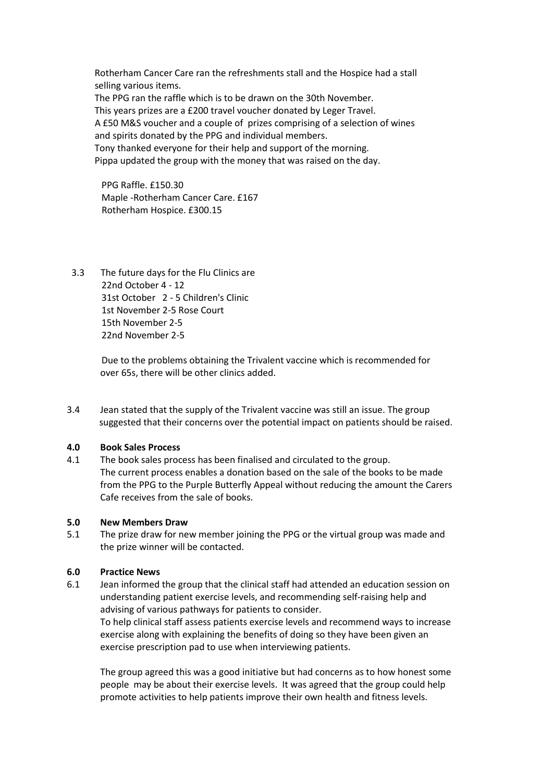Rotherham Cancer Care ran the refreshments stall and the Hospice had a stall selling various items. The PPG ran the raffle which is to be drawn on the 30th November. This years prizes are a £200 travel voucher donated by Leger Travel. A £50 M&S voucher and a couple of prizes comprising of a selection of wines and spirits donated by the PPG and individual members. Tony thanked everyone for their help and support of the morning. Pippa updated the group with the money that was raised on the day.

 PPG Raffle. £150.30 Maple -Rotherham Cancer Care. £167 Rotherham Hospice. £300.15

 3.3 The future days for the Flu Clinics are 22nd October 4 - 12 31st October 2 - 5 Children's Clinic 1st November 2-5 Rose Court 15th November 2-5 22nd November 2-5

> Due to the problems obtaining the Trivalent vaccine which is recommended for over 65s, there will be other clinics added.

3.4 Jean stated that the supply of the Trivalent vaccine was still an issue. The group suggested that their concerns over the potential impact on patients should be raised.

### **4.0 Book Sales Process**

4.1 The book sales process has been finalised and circulated to the group. The current process enables a donation based on the sale of the books to be made from the PPG to the Purple Butterfly Appeal without reducing the amount the Carers Cafe receives from the sale of books.

#### **5.0 New Members Draw**

5.1 The prize draw for new member joining the PPG or the virtual group was made and the prize winner will be contacted.

#### **6.0 Practice News**

6.1 Jean informed the group that the clinical staff had attended an education session on understanding patient exercise levels, and recommending self-raising help and advising of various pathways for patients to consider.

 To help clinical staff assess patients exercise levels and recommend ways to increase exercise along with explaining the benefits of doing so they have been given an exercise prescription pad to use when interviewing patients.

 The group agreed this was a good initiative but had concerns as to how honest some people may be about their exercise levels. It was agreed that the group could help promote activities to help patients improve their own health and fitness levels.